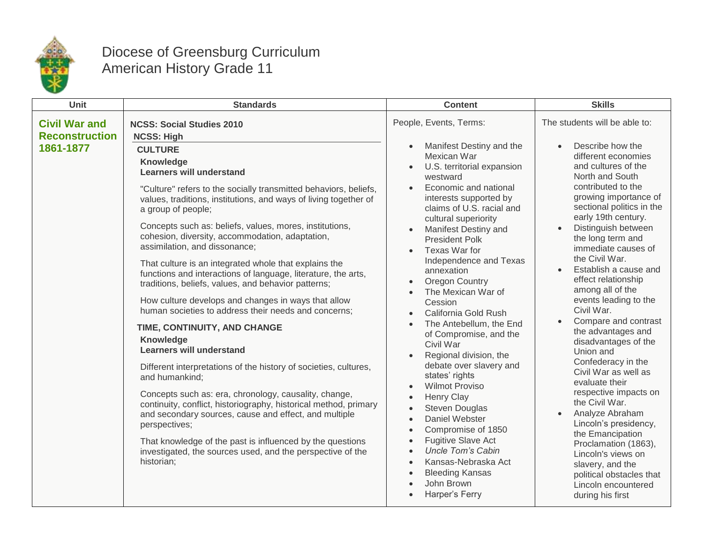

## Diocese of Greensburg Curriculum American History Grade 11

| Unit                                                       | <b>Standards</b>                                                                                                                                                                                                                                                                                                                                                                                                                                                                                                                                                                                                                                                                                                                                                     | <b>Content</b>                                                                                                                                                                                                                                                                                                                                                                                                                                                                                                                                                                                                                                                                                                                                                                                                                                                                                                                                                         | <b>Skills</b>                                                                                                                                                                                                                                                                                                                                                      |                                                                                                                                                                                                                                                                                                                                                                                                                                     |
|------------------------------------------------------------|----------------------------------------------------------------------------------------------------------------------------------------------------------------------------------------------------------------------------------------------------------------------------------------------------------------------------------------------------------------------------------------------------------------------------------------------------------------------------------------------------------------------------------------------------------------------------------------------------------------------------------------------------------------------------------------------------------------------------------------------------------------------|------------------------------------------------------------------------------------------------------------------------------------------------------------------------------------------------------------------------------------------------------------------------------------------------------------------------------------------------------------------------------------------------------------------------------------------------------------------------------------------------------------------------------------------------------------------------------------------------------------------------------------------------------------------------------------------------------------------------------------------------------------------------------------------------------------------------------------------------------------------------------------------------------------------------------------------------------------------------|--------------------------------------------------------------------------------------------------------------------------------------------------------------------------------------------------------------------------------------------------------------------------------------------------------------------------------------------------------------------|-------------------------------------------------------------------------------------------------------------------------------------------------------------------------------------------------------------------------------------------------------------------------------------------------------------------------------------------------------------------------------------------------------------------------------------|
| <b>Civil War and</b><br><b>Reconstruction</b><br>1861-1877 | <b>NCSS: Social Studies 2010</b><br><b>NCSS: High</b><br><b>CULTURE</b><br>Knowledge<br><b>Learners will understand</b><br>"Culture" refers to the socially transmitted behaviors, beliefs,<br>values, traditions, institutions, and ways of living together of<br>a group of people;<br>Concepts such as: beliefs, values, mores, institutions,<br>cohesion, diversity, accommodation, adaptation,<br>assimilation, and dissonance;<br>That culture is an integrated whole that explains the<br>functions and interactions of language, literature, the arts,<br>traditions, beliefs, values, and behavior patterns;<br>How culture develops and changes in ways that allow<br>human societies to address their needs and concerns;<br>TIME, CONTINUITY, AND CHANGE | People, Events, Terms:<br>Manifest Destiny and the<br>$\bullet$<br>Mexican War<br>U.S. territorial expansion<br>$\bullet$<br>westward<br>Economic and national<br>interests supported by<br>claims of U.S. racial and<br>cultural superiority<br>Manifest Destiny and<br>$\bullet$<br><b>President Polk</b><br>Texas War for<br>Independence and Texas<br>annexation<br><b>Oregon Country</b><br>The Mexican War of<br>Cession<br>California Gold Rush<br>$\bullet$<br>The Antebellum, the End<br>$\bullet$<br>of Compromise, and the<br>Civil War<br>Regional division, the<br>debate over slavery and<br>states' rights<br><b>Wilmot Proviso</b><br>Henry Clay<br><b>Steven Douglas</b><br>$\bullet$<br>Daniel Webster<br>$\bullet$<br>Compromise of 1850<br>$\bullet$<br><b>Fugitive Slave Act</b><br>$\bullet$<br><b>Uncle Tom's Cabin</b><br>$\bullet$<br>Kansas-Nebraska Act<br>$\bullet$<br><b>Bleeding Kansas</b><br>$\bullet$<br>John Brown<br>Harper's Ferry | the Civil War.<br>$\bullet$<br>Civil War.                                                                                                                                                                                                                                                                                                                          | The students will be able to:<br>Describe how the<br>different economies<br>and cultures of the<br>North and South<br>contributed to the<br>growing importance of<br>sectional politics in the<br>early 19th century.<br>Distinguish between<br>the long term and<br>immediate causes of<br>Establish a cause and<br>effect relationship<br>among all of the<br>events leading to the<br>Compare and contrast<br>the advantages and |
|                                                            | <b>Knowledge</b><br><b>Learners will understand</b><br>Different interpretations of the history of societies, cultures,<br>and humankind;<br>Concepts such as: era, chronology, causality, change,<br>continuity, conflict, historiography, historical method, primary<br>and secondary sources, cause and effect, and multiple<br>perspectives;<br>That knowledge of the past is influenced by the questions<br>investigated, the sources used, and the perspective of the<br>historian;                                                                                                                                                                                                                                                                            |                                                                                                                                                                                                                                                                                                                                                                                                                                                                                                                                                                                                                                                                                                                                                                                                                                                                                                                                                                        | disadvantages of the<br>Union and<br>Confederacy in the<br>Civil War as well as<br>evaluate their<br>respective impacts on<br>the Civil War.<br>Analyze Abraham<br>$\bullet$<br>Lincoln's presidency,<br>the Emancipation<br>Proclamation (1863),<br>Lincoln's views on<br>slavery, and the<br>political obstacles that<br>Lincoln encountered<br>during his first |                                                                                                                                                                                                                                                                                                                                                                                                                                     |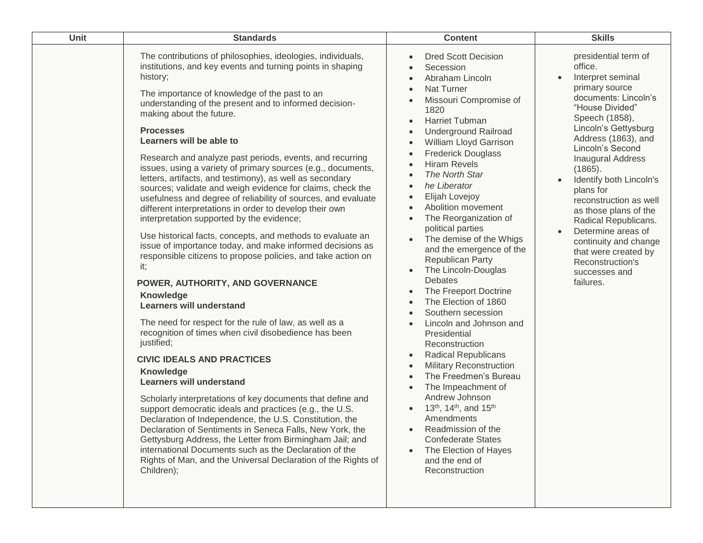| Unit | <b>Standards</b>                                                                                                                                                                                                                                                                                                                                                                                                                                                                                                                                                                                                                                                                                                                                                                                                                                                                                                                                                                                                                                                                                                                                                                                                                                                                                                                                                                                                                                                                                                                                                                                                                                                                                                                    | <b>Content</b>                                                                                                                                                                                                                                                                                                                                                                                                                                                                                                                                                                                                                                                                                                                                                                                                                                                                                                                                                                                                                        | <b>Skills</b>                                                                                                                                                                                                                                                                                                                                                                                                                                                                                                                    |
|------|-------------------------------------------------------------------------------------------------------------------------------------------------------------------------------------------------------------------------------------------------------------------------------------------------------------------------------------------------------------------------------------------------------------------------------------------------------------------------------------------------------------------------------------------------------------------------------------------------------------------------------------------------------------------------------------------------------------------------------------------------------------------------------------------------------------------------------------------------------------------------------------------------------------------------------------------------------------------------------------------------------------------------------------------------------------------------------------------------------------------------------------------------------------------------------------------------------------------------------------------------------------------------------------------------------------------------------------------------------------------------------------------------------------------------------------------------------------------------------------------------------------------------------------------------------------------------------------------------------------------------------------------------------------------------------------------------------------------------------------|---------------------------------------------------------------------------------------------------------------------------------------------------------------------------------------------------------------------------------------------------------------------------------------------------------------------------------------------------------------------------------------------------------------------------------------------------------------------------------------------------------------------------------------------------------------------------------------------------------------------------------------------------------------------------------------------------------------------------------------------------------------------------------------------------------------------------------------------------------------------------------------------------------------------------------------------------------------------------------------------------------------------------------------|----------------------------------------------------------------------------------------------------------------------------------------------------------------------------------------------------------------------------------------------------------------------------------------------------------------------------------------------------------------------------------------------------------------------------------------------------------------------------------------------------------------------------------|
|      | The contributions of philosophies, ideologies, individuals,<br>institutions, and key events and turning points in shaping<br>history;<br>The importance of knowledge of the past to an<br>understanding of the present and to informed decision-<br>making about the future.<br><b>Processes</b><br>Learners will be able to<br>Research and analyze past periods, events, and recurring<br>issues, using a variety of primary sources (e.g., documents,<br>letters, artifacts, and testimony), as well as secondary<br>sources; validate and weigh evidence for claims, check the<br>usefulness and degree of reliability of sources, and evaluate<br>different interpretations in order to develop their own<br>interpretation supported by the evidence;<br>Use historical facts, concepts, and methods to evaluate an<br>issue of importance today, and make informed decisions as<br>responsible citizens to propose policies, and take action on<br>it;<br>POWER, AUTHORITY, AND GOVERNANCE<br>Knowledge<br><b>Learners will understand</b><br>The need for respect for the rule of law, as well as a<br>recognition of times when civil disobedience has been<br>justified;<br><b>CIVIC IDEALS AND PRACTICES</b><br><b>Knowledge</b><br><b>Learners will understand</b><br>Scholarly interpretations of key documents that define and<br>support democratic ideals and practices (e.g., the U.S.<br>Declaration of Independence, the U.S. Constitution, the<br>Declaration of Sentiments in Seneca Falls, New York, the<br>Gettysburg Address, the Letter from Birmingham Jail; and<br>international Documents such as the Declaration of the<br>Rights of Man, and the Universal Declaration of the Rights of<br>Children); | <b>Dred Scott Decision</b><br>Secession<br>Abraham Lincoln<br>Nat Turner<br>Missouri Compromise of<br>1820<br><b>Harriet Tubman</b><br>$\bullet$<br><b>Underground Railroad</b><br>William Lloyd Garrison<br><b>Frederick Douglass</b><br><b>Hiram Revels</b><br>The North Star<br>he Liberator<br>Elijah Lovejoy<br>Abolition movement<br>The Reorganization of<br>political parties<br>The demise of the Whigs<br>and the emergence of the<br><b>Republican Party</b><br>The Lincoln-Douglas<br><b>Debates</b><br>The Freeport Doctrine<br>$\bullet$<br>The Election of 1860<br>Southern secession<br>Lincoln and Johnson and<br>Presidential<br>Reconstruction<br><b>Radical Republicans</b><br>$\bullet$<br><b>Military Reconstruction</b><br>$\bullet$<br>The Freedmen's Bureau<br>$\bullet$<br>The Impeachment of<br>Andrew Johnson<br>13 <sup>th</sup> , 14 <sup>th</sup> , and 15 <sup>th</sup><br>Amendments<br>Readmission of the<br><b>Confederate States</b><br>The Election of Hayes<br>and the end of<br>Reconstruction | presidential term of<br>office.<br>Interpret seminal<br>$\bullet$<br>primary source<br>documents: Lincoln's<br>"House Divided"<br>Speech (1858),<br>Lincoln's Gettysburg<br>Address (1863), and<br>Lincoln's Second<br><b>Inaugural Address</b><br>(1865).<br>Identify both Lincoln's<br>$\bullet$<br>plans for<br>reconstruction as well<br>as those plans of the<br>Radical Republicans.<br>Determine areas of<br>$\bullet$<br>continuity and change<br>that were created by<br>Reconstruction's<br>successes and<br>failures. |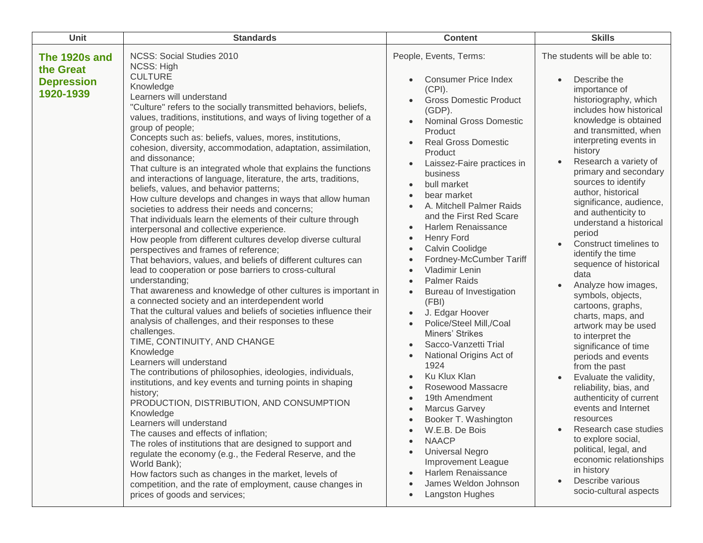| Unit                                                         | <b>Standards</b>                                                                                                                                                                                                                                                                                                                                                                                                                                                                                                                                                                                                                                                                                                                                                                                                                                                                                                                                                                                                                                                                                                                                                                                                                                                                                                                                                                                                                                                                                                                                                                                                                                                                                                                                                                                                                                                                                                                                                                                                | <b>Content</b>                                                                                                                                                                                                                                                                                                                                                                                                                                                                                                                                                                                                                                                                                                                                                                                                                                                                                                                                                                                                                                                                                                                                                                                                                                           | <b>Skills</b>                                                                                                                                                                                                                                                                                                                                                                                                                                                                                                                                                                                                                                                                                                                                                                                                                                                                                                                                                                                            |
|--------------------------------------------------------------|-----------------------------------------------------------------------------------------------------------------------------------------------------------------------------------------------------------------------------------------------------------------------------------------------------------------------------------------------------------------------------------------------------------------------------------------------------------------------------------------------------------------------------------------------------------------------------------------------------------------------------------------------------------------------------------------------------------------------------------------------------------------------------------------------------------------------------------------------------------------------------------------------------------------------------------------------------------------------------------------------------------------------------------------------------------------------------------------------------------------------------------------------------------------------------------------------------------------------------------------------------------------------------------------------------------------------------------------------------------------------------------------------------------------------------------------------------------------------------------------------------------------------------------------------------------------------------------------------------------------------------------------------------------------------------------------------------------------------------------------------------------------------------------------------------------------------------------------------------------------------------------------------------------------------------------------------------------------------------------------------------------------|----------------------------------------------------------------------------------------------------------------------------------------------------------------------------------------------------------------------------------------------------------------------------------------------------------------------------------------------------------------------------------------------------------------------------------------------------------------------------------------------------------------------------------------------------------------------------------------------------------------------------------------------------------------------------------------------------------------------------------------------------------------------------------------------------------------------------------------------------------------------------------------------------------------------------------------------------------------------------------------------------------------------------------------------------------------------------------------------------------------------------------------------------------------------------------------------------------------------------------------------------------|----------------------------------------------------------------------------------------------------------------------------------------------------------------------------------------------------------------------------------------------------------------------------------------------------------------------------------------------------------------------------------------------------------------------------------------------------------------------------------------------------------------------------------------------------------------------------------------------------------------------------------------------------------------------------------------------------------------------------------------------------------------------------------------------------------------------------------------------------------------------------------------------------------------------------------------------------------------------------------------------------------|
| The 1920s and<br>the Great<br><b>Depression</b><br>1920-1939 | <b>NCSS: Social Studies 2010</b><br><b>NCSS: High</b><br><b>CULTURE</b><br>Knowledge<br>Learners will understand<br>"Culture" refers to the socially transmitted behaviors, beliefs,<br>values, traditions, institutions, and ways of living together of a<br>group of people;<br>Concepts such as: beliefs, values, mores, institutions,<br>cohesion, diversity, accommodation, adaptation, assimilation,<br>and dissonance;<br>That culture is an integrated whole that explains the functions<br>and interactions of language, literature, the arts, traditions,<br>beliefs, values, and behavior patterns;<br>How culture develops and changes in ways that allow human<br>societies to address their needs and concerns;<br>That individuals learn the elements of their culture through<br>interpersonal and collective experience.<br>How people from different cultures develop diverse cultural<br>perspectives and frames of reference;<br>That behaviors, values, and beliefs of different cultures can<br>lead to cooperation or pose barriers to cross-cultural<br>understanding;<br>That awareness and knowledge of other cultures is important in<br>a connected society and an interdependent world<br>That the cultural values and beliefs of societies influence their<br>analysis of challenges, and their responses to these<br>challenges.<br>TIME, CONTINUITY, AND CHANGE<br>Knowledge<br>Learners will understand<br>The contributions of philosophies, ideologies, individuals,<br>institutions, and key events and turning points in shaping<br>history;<br>PRODUCTION, DISTRIBUTION, AND CONSUMPTION<br>Knowledge<br>Learners will understand<br>The causes and effects of inflation;<br>The roles of institutions that are designed to support and<br>regulate the economy (e.g., the Federal Reserve, and the<br>World Bank);<br>How factors such as changes in the market, levels of<br>competition, and the rate of employment, cause changes in<br>prices of goods and services; | People, Events, Terms:<br><b>Consumer Price Index</b><br>$\bullet$<br>$(CPI)$ .<br><b>Gross Domestic Product</b><br>$\bullet$<br>$(GDP)$ .<br><b>Nominal Gross Domestic</b><br>$\bullet$<br>Product<br><b>Real Gross Domestic</b><br>$\bullet$<br>Product<br>Laissez-Faire practices in<br>$\bullet$<br>business<br>bull market<br>$\bullet$<br>bear market<br>$\bullet$<br>A. Mitchell Palmer Raids<br>$\bullet$<br>and the First Red Scare<br>Harlem Renaissance<br>$\bullet$<br>Henry Ford<br>$\bullet$<br>Calvin Coolidge<br>$\bullet$<br>Fordney-McCumber Tariff<br>$\bullet$<br>Vladimir Lenin<br>$\bullet$<br><b>Palmer Raids</b><br>$\bullet$<br>Bureau of Investigation<br>$\bullet$<br>(FBI)<br>J. Edgar Hoover<br>$\bullet$<br>Police/Steel Mill,/Coal<br>$\bullet$<br>Miners' Strikes<br>Sacco-Vanzetti Trial<br>$\bullet$<br>National Origins Act of<br>$\bullet$<br>1924<br>Ku Klux Klan<br>$\bullet$<br>Rosewood Massacre<br>$\bullet$<br>19th Amendment<br>$\bullet$<br>Marcus Garvey<br>$\bullet$<br>Booker T. Washington<br>$\bullet$<br>W.E.B. De Bois<br><b>NAACP</b><br><b>Universal Negro</b><br>$\bullet$<br>Improvement League<br>Harlem Renaissance<br>$\bullet$<br>James Weldon Johnson<br><b>Langston Hughes</b><br>$\bullet$ | The students will be able to:<br>Describe the<br>importance of<br>historiography, which<br>includes how historical<br>knowledge is obtained<br>and transmitted, when<br>interpreting events in<br>history<br>Research a variety of<br>$\bullet$<br>primary and secondary<br>sources to identify<br>author, historical<br>significance, audience,<br>and authenticity to<br>understand a historical<br>period<br>Construct timelines to<br>identify the time<br>sequence of historical<br>data<br>Analyze how images,<br>symbols, objects,<br>cartoons, graphs,<br>charts, maps, and<br>artwork may be used<br>to interpret the<br>significance of time<br>periods and events<br>from the past<br>Evaluate the validity,<br>$\bullet$<br>reliability, bias, and<br>authenticity of current<br>events and Internet<br>resources<br>Research case studies<br>to explore social,<br>political, legal, and<br>economic relationships<br>in history<br>Describe various<br>$\bullet$<br>socio-cultural aspects |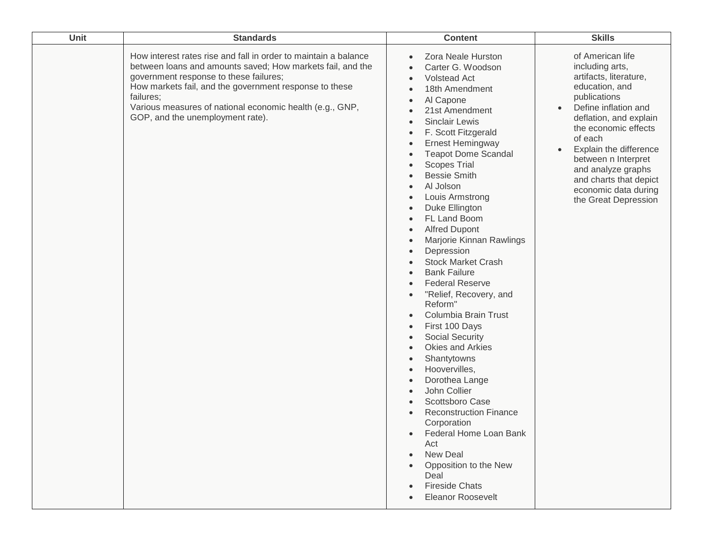| Unit | <b>Standards</b>                                                                                                                                                                                                                                                                                                                               | <b>Content</b>                                                                                                                                                                                                                                                                                                                                                                                                                                                                                                                                                                                                                                                                                                                                                                                                                                                                                                                                                                                                                                                   | <b>Skills</b>                                                                                                                                                                                                                                                                                                                                      |
|------|------------------------------------------------------------------------------------------------------------------------------------------------------------------------------------------------------------------------------------------------------------------------------------------------------------------------------------------------|------------------------------------------------------------------------------------------------------------------------------------------------------------------------------------------------------------------------------------------------------------------------------------------------------------------------------------------------------------------------------------------------------------------------------------------------------------------------------------------------------------------------------------------------------------------------------------------------------------------------------------------------------------------------------------------------------------------------------------------------------------------------------------------------------------------------------------------------------------------------------------------------------------------------------------------------------------------------------------------------------------------------------------------------------------------|----------------------------------------------------------------------------------------------------------------------------------------------------------------------------------------------------------------------------------------------------------------------------------------------------------------------------------------------------|
|      | How interest rates rise and fall in order to maintain a balance<br>between loans and amounts saved; How markets fail, and the<br>government response to these failures;<br>How markets fail, and the government response to these<br>failures;<br>Various measures of national economic health (e.g., GNP,<br>GOP, and the unemployment rate). | Zora Neale Hurston<br>Carter G. Woodson<br><b>Volstead Act</b><br>18th Amendment<br>Al Capone<br>21st Amendment<br><b>Sinclair Lewis</b><br>F. Scott Fitzgerald<br><b>Ernest Hemingway</b><br>$\bullet$<br><b>Teapot Dome Scandal</b><br><b>Scopes Trial</b><br><b>Bessie Smith</b><br>Al Jolson<br>Louis Armstrong<br>Duke Ellington<br>FL Land Boom<br>$\bullet$<br><b>Alfred Dupont</b><br>$\bullet$<br>Marjorie Kinnan Rawlings<br>$\bullet$<br>Depression<br>$\bullet$<br><b>Stock Market Crash</b><br><b>Bank Failure</b><br>$\bullet$<br><b>Federal Reserve</b><br>"Relief, Recovery, and<br>Reform"<br>Columbia Brain Trust<br>First 100 Days<br>$\bullet$<br><b>Social Security</b><br>$\bullet$<br>Okies and Arkies<br>$\bullet$<br>Shantytowns<br>$\bullet$<br>Hoovervilles,<br>$\bullet$<br>Dorothea Lange<br>$\bullet$<br>John Collier<br>Scottsboro Case<br><b>Reconstruction Finance</b><br>Corporation<br>Federal Home Loan Bank<br>Act<br><b>New Deal</b><br>Opposition to the New<br>Deal<br><b>Fireside Chats</b><br><b>Eleanor Roosevelt</b> | of American life<br>including arts,<br>artifacts, literature,<br>education, and<br>publications<br>Define inflation and<br>$\bullet$<br>deflation, and explain<br>the economic effects<br>of each<br>Explain the difference<br>between n Interpret<br>and analyze graphs<br>and charts that depict<br>economic data during<br>the Great Depression |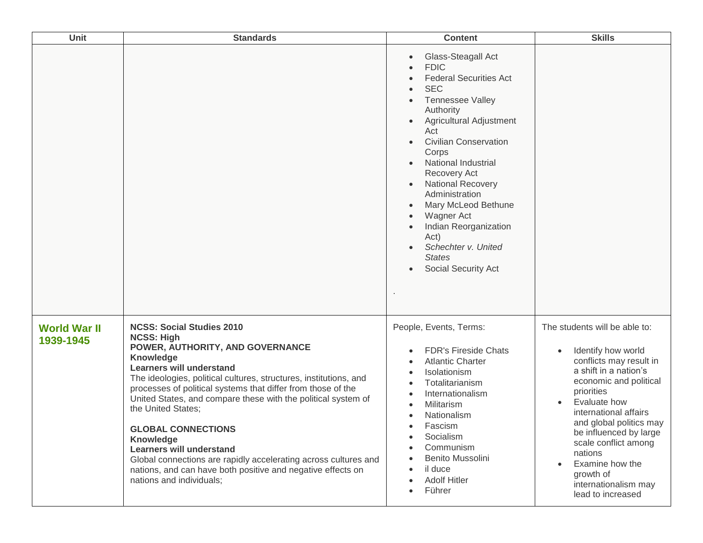| Unit                             | <b>Standards</b>                                                                                                                                                                                                                                                                                                                                                                                                                                                                                                                                                                                                        | <b>Content</b>                                                                                                                                                                                                                                                                                                                                                                                                                                                                                        | <b>Skills</b>                                                                                                                                                                                                                                                                                                                                                 |
|----------------------------------|-------------------------------------------------------------------------------------------------------------------------------------------------------------------------------------------------------------------------------------------------------------------------------------------------------------------------------------------------------------------------------------------------------------------------------------------------------------------------------------------------------------------------------------------------------------------------------------------------------------------------|-------------------------------------------------------------------------------------------------------------------------------------------------------------------------------------------------------------------------------------------------------------------------------------------------------------------------------------------------------------------------------------------------------------------------------------------------------------------------------------------------------|---------------------------------------------------------------------------------------------------------------------------------------------------------------------------------------------------------------------------------------------------------------------------------------------------------------------------------------------------------------|
|                                  |                                                                                                                                                                                                                                                                                                                                                                                                                                                                                                                                                                                                                         | Glass-Steagall Act<br>$\bullet$<br><b>FDIC</b><br><b>Federal Securities Act</b><br><b>SEC</b><br><b>Tennessee Valley</b><br>Authority<br>Agricultural Adjustment<br>Act<br><b>Civilian Conservation</b><br>$\bullet$<br>Corps<br><b>National Industrial</b><br>Recovery Act<br><b>National Recovery</b><br>$\bullet$<br>Administration<br>Mary McLeod Bethune<br>$\bullet$<br>Wagner Act<br>$\bullet$<br>Indian Reorganization<br>Act)<br>Schechter v. United<br><b>States</b><br>Social Security Act |                                                                                                                                                                                                                                                                                                                                                               |
| <b>World War II</b><br>1939-1945 | <b>NCSS: Social Studies 2010</b><br><b>NCSS: High</b><br>POWER, AUTHORITY, AND GOVERNANCE<br><b>Knowledge</b><br><b>Learners will understand</b><br>The ideologies, political cultures, structures, institutions, and<br>processes of political systems that differ from those of the<br>United States, and compare these with the political system of<br>the United States;<br><b>GLOBAL CONNECTIONS</b><br>Knowledge<br><b>Learners will understand</b><br>Global connections are rapidly accelerating across cultures and<br>nations, and can have both positive and negative effects on<br>nations and individuals; | People, Events, Terms:<br><b>FDR's Fireside Chats</b><br>$\bullet$<br><b>Atlantic Charter</b><br>$\bullet$<br>Isolationism<br>$\bullet$<br>Totalitarianism<br>$\bullet$<br>Internationalism<br>$\bullet$<br>Militarism<br>$\bullet$<br>Nationalism<br>$\bullet$<br>Fascism<br>$\bullet$<br>Socialism<br>$\bullet$<br>Communism<br>$\bullet$<br><b>Benito Mussolini</b><br>$\bullet$<br>il duce<br>$\bullet$<br><b>Adolf Hitler</b><br>$\bullet$<br>Führer<br>$\bullet$                                | The students will be able to:<br>Identify how world<br>conflicts may result in<br>a shift in a nation's<br>economic and political<br>priorities<br>Evaluate how<br>international affairs<br>and global politics may<br>be influenced by large<br>scale conflict among<br>nations<br>Examine how the<br>growth of<br>internationalism may<br>lead to increased |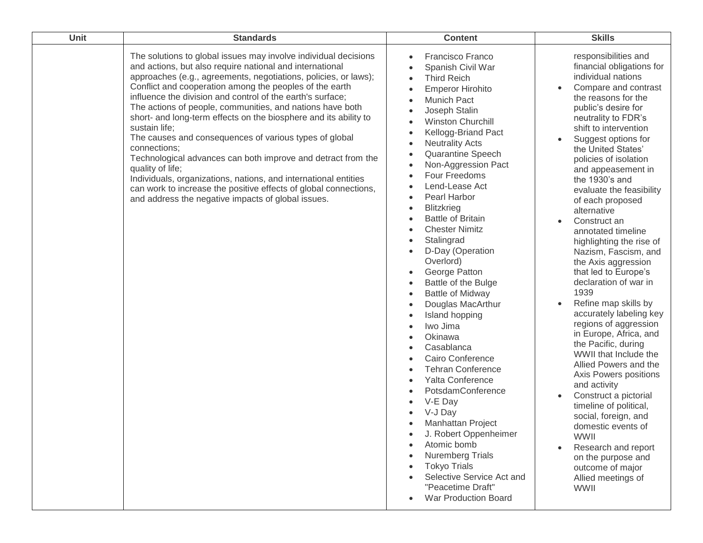| Unit | <b>Standards</b>                                                                                                                                                                                                                                                                                                                                                                                                                                                                                                                                                                                                                                                                                                                                                                                                                     | <b>Content</b>                                                                                                                                                                                                                                                                                                                                                                                                                                                                                                                                                                                                                                                                                                                                                                                                                                                                                                      | <b>Skills</b>                                                                                                                                                                                                                                                                                                                                                                                                                                                                                                                                                                                                                                                                                                                                                                                                                                                                                                                                                                                            |
|------|--------------------------------------------------------------------------------------------------------------------------------------------------------------------------------------------------------------------------------------------------------------------------------------------------------------------------------------------------------------------------------------------------------------------------------------------------------------------------------------------------------------------------------------------------------------------------------------------------------------------------------------------------------------------------------------------------------------------------------------------------------------------------------------------------------------------------------------|---------------------------------------------------------------------------------------------------------------------------------------------------------------------------------------------------------------------------------------------------------------------------------------------------------------------------------------------------------------------------------------------------------------------------------------------------------------------------------------------------------------------------------------------------------------------------------------------------------------------------------------------------------------------------------------------------------------------------------------------------------------------------------------------------------------------------------------------------------------------------------------------------------------------|----------------------------------------------------------------------------------------------------------------------------------------------------------------------------------------------------------------------------------------------------------------------------------------------------------------------------------------------------------------------------------------------------------------------------------------------------------------------------------------------------------------------------------------------------------------------------------------------------------------------------------------------------------------------------------------------------------------------------------------------------------------------------------------------------------------------------------------------------------------------------------------------------------------------------------------------------------------------------------------------------------|
|      | The solutions to global issues may involve individual decisions<br>and actions, but also require national and international<br>approaches (e.g., agreements, negotiations, policies, or laws);<br>Conflict and cooperation among the peoples of the earth<br>influence the division and control of the earth's surface;<br>The actions of people, communities, and nations have both<br>short- and long-term effects on the biosphere and its ability to<br>sustain life;<br>The causes and consequences of various types of global<br>connections;<br>Technological advances can both improve and detract from the<br>quality of life;<br>Individuals, organizations, nations, and international entities<br>can work to increase the positive effects of global connections,<br>and address the negative impacts of global issues. | Francisco Franco<br>Spanish Civil War<br><b>Third Reich</b><br><b>Emperor Hirohito</b><br>Munich Pact<br>Joseph Stalin<br><b>Winston Churchill</b><br>Kellogg-Briand Pact<br><b>Neutrality Acts</b><br>Quarantine Speech<br>Non-Aggression Pact<br>Four Freedoms<br>Lend-Lease Act<br>Pearl Harbor<br><b>Blitzkrieg</b><br>$\bullet$<br><b>Battle of Britain</b><br><b>Chester Nimitz</b><br>Stalingrad<br>D-Day (Operation<br>Overlord)<br>George Patton<br>Battle of the Bulge<br><b>Battle of Midway</b><br>$\bullet$<br>Douglas MacArthur<br>Island hopping<br>Iwo Jima<br>Okinawa<br>Casablanca<br><b>Cairo Conference</b><br><b>Tehran Conference</b><br>Yalta Conference<br>PotsdamConference<br>V-E Day<br>V-J Day<br>Manhattan Project<br>J. Robert Oppenheimer<br>Atomic bomb<br><b>Nuremberg Trials</b><br><b>Tokyo Trials</b><br>Selective Service Act and<br>"Peacetime Draft"<br>War Production Board | responsibilities and<br>financial obligations for<br>individual nations<br>Compare and contrast<br>the reasons for the<br>public's desire for<br>neutrality to FDR's<br>shift to intervention<br>Suggest options for<br>$\bullet$<br>the United States'<br>policies of isolation<br>and appeasement in<br>the 1930's and<br>evaluate the feasibility<br>of each proposed<br>alternative<br>Construct an<br>annotated timeline<br>highlighting the rise of<br>Nazism, Fascism, and<br>the Axis aggression<br>that led to Europe's<br>declaration of war in<br>1939<br>Refine map skills by<br>accurately labeling key<br>regions of aggression<br>in Europe, Africa, and<br>the Pacific, during<br>WWII that Include the<br>Allied Powers and the<br>Axis Powers positions<br>and activity<br>Construct a pictorial<br>timeline of political,<br>social, foreign, and<br>domestic events of<br><b>WWII</b><br>Research and report<br>on the purpose and<br>outcome of major<br>Allied meetings of<br>WWII |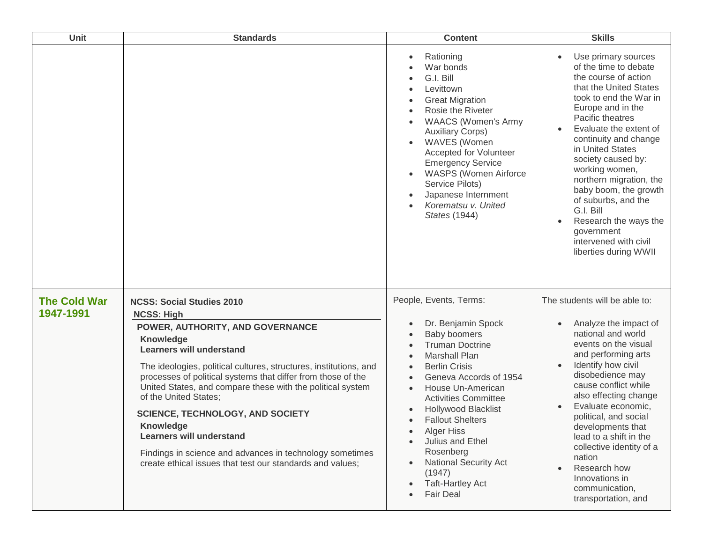| <b>Unit</b>                      | <b>Standards</b>                                                                                                                                                                                                                                                                                                                                                                                                                                                                                                                                                                                        | <b>Content</b>                                                                                                                                                                                                                                                                                                                                                                                                               | <b>Skills</b>                                                                                                                                                                                                                                                                                                                                                                                                                                                     |
|----------------------------------|---------------------------------------------------------------------------------------------------------------------------------------------------------------------------------------------------------------------------------------------------------------------------------------------------------------------------------------------------------------------------------------------------------------------------------------------------------------------------------------------------------------------------------------------------------------------------------------------------------|------------------------------------------------------------------------------------------------------------------------------------------------------------------------------------------------------------------------------------------------------------------------------------------------------------------------------------------------------------------------------------------------------------------------------|-------------------------------------------------------------------------------------------------------------------------------------------------------------------------------------------------------------------------------------------------------------------------------------------------------------------------------------------------------------------------------------------------------------------------------------------------------------------|
|                                  |                                                                                                                                                                                                                                                                                                                                                                                                                                                                                                                                                                                                         | Rationing<br>War bonds<br>G.I. Bill<br>Levittown<br><b>Great Migration</b><br>Rosie the Riveter<br><b>WAACS (Women's Army</b><br><b>Auxiliary Corps)</b><br><b>WAVES</b> (Women<br><b>Accepted for Volunteer</b><br><b>Emergency Service</b><br><b>WASPS (Women Airforce</b><br>Service Pilots)<br>Japanese Internment<br>Korematsu v. United<br>States (1944)                                                               | Use primary sources<br>of the time to debate<br>the course of action<br>that the United States<br>took to end the War in<br>Europe and in the<br>Pacific theatres<br>Evaluate the extent of<br>continuity and change<br>in United States<br>society caused by:<br>working women,<br>northern migration, the<br>baby boom, the growth<br>of suburbs, and the<br>G.I. Bill<br>Research the ways the<br>government<br>intervened with civil<br>liberties during WWII |
| <b>The Cold War</b><br>1947-1991 | <b>NCSS: Social Studies 2010</b><br><b>NCSS: High</b><br>POWER, AUTHORITY, AND GOVERNANCE<br><b>Knowledge</b><br><b>Learners will understand</b><br>The ideologies, political cultures, structures, institutions, and<br>processes of political systems that differ from those of the<br>United States, and compare these with the political system<br>of the United States;<br><b>SCIENCE, TECHNOLOGY, AND SOCIETY</b><br><b>Knowledge</b><br><b>Learners will understand</b><br>Findings in science and advances in technology sometimes<br>create ethical issues that test our standards and values; | People, Events, Terms:<br>Dr. Benjamin Spock<br>Baby boomers<br><b>Truman Doctrine</b><br><b>Marshall Plan</b><br><b>Berlin Crisis</b><br>Geneva Accords of 1954<br>House Un-American<br><b>Activities Committee</b><br><b>Hollywood Blacklist</b><br><b>Fallout Shelters</b><br><b>Alger Hiss</b><br>Julius and Ethel<br>Rosenberg<br><b>National Security Act</b><br>(1947)<br><b>Taft-Hartley Act</b><br><b>Fair Deal</b> | The students will be able to:<br>Analyze the impact of<br>national and world<br>events on the visual<br>and performing arts<br>Identify how civil<br>disobedience may<br>cause conflict while<br>also effecting change<br>Evaluate economic,<br>political, and social<br>developments that<br>lead to a shift in the<br>collective identity of a<br>nation<br>Research how<br>Innovations in<br>communication,<br>transportation, and                             |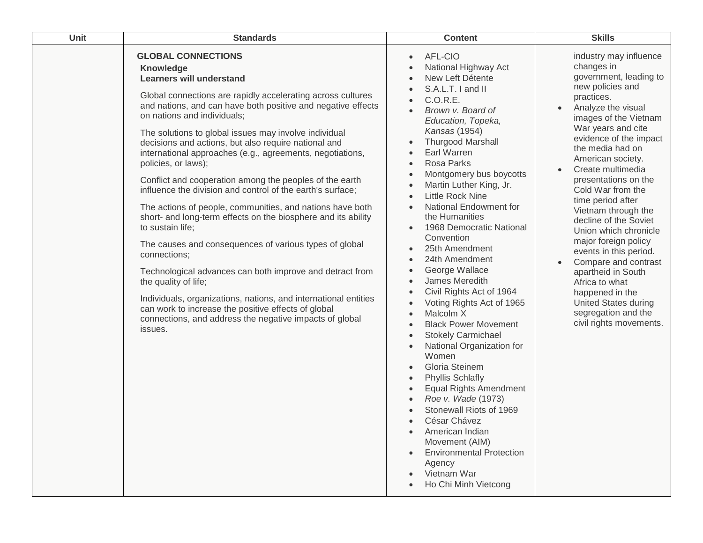| Unit | <b>Standards</b>                                                                                                                                                                                                                                                                                                                                                                                                                                                                                                                                                                                                                                                                                                                                                                                                                                                                                                                                                                                                                                                                      | <b>Content</b>                                                                                                                                                                                                                                                                                                                                                                                                                                                                                                                                                                                                                                                                                                                                                                                                                                                                                                                                                                         | <b>Skills</b>                                                                                                                                                                                                                                                                                                                                                                                                                                                                                                                                                                                                                                            |
|------|---------------------------------------------------------------------------------------------------------------------------------------------------------------------------------------------------------------------------------------------------------------------------------------------------------------------------------------------------------------------------------------------------------------------------------------------------------------------------------------------------------------------------------------------------------------------------------------------------------------------------------------------------------------------------------------------------------------------------------------------------------------------------------------------------------------------------------------------------------------------------------------------------------------------------------------------------------------------------------------------------------------------------------------------------------------------------------------|----------------------------------------------------------------------------------------------------------------------------------------------------------------------------------------------------------------------------------------------------------------------------------------------------------------------------------------------------------------------------------------------------------------------------------------------------------------------------------------------------------------------------------------------------------------------------------------------------------------------------------------------------------------------------------------------------------------------------------------------------------------------------------------------------------------------------------------------------------------------------------------------------------------------------------------------------------------------------------------|----------------------------------------------------------------------------------------------------------------------------------------------------------------------------------------------------------------------------------------------------------------------------------------------------------------------------------------------------------------------------------------------------------------------------------------------------------------------------------------------------------------------------------------------------------------------------------------------------------------------------------------------------------|
|      | <b>GLOBAL CONNECTIONS</b><br>Knowledge<br><b>Learners will understand</b><br>Global connections are rapidly accelerating across cultures<br>and nations, and can have both positive and negative effects<br>on nations and individuals;<br>The solutions to global issues may involve individual<br>decisions and actions, but also require national and<br>international approaches (e.g., agreements, negotiations,<br>policies, or laws);<br>Conflict and cooperation among the peoples of the earth<br>influence the division and control of the earth's surface;<br>The actions of people, communities, and nations have both<br>short- and long-term effects on the biosphere and its ability<br>to sustain life;<br>The causes and consequences of various types of global<br>connections;<br>Technological advances can both improve and detract from<br>the quality of life;<br>Individuals, organizations, nations, and international entities<br>can work to increase the positive effects of global<br>connections, and address the negative impacts of global<br>issues. | AFL-CIO<br>National Highway Act<br>New Left Détente<br>S.A.L.T. I and II<br>C.O.R.E.<br>Brown v. Board of<br>Education, Topeka,<br>Kansas (1954)<br><b>Thurgood Marshall</b><br>Earl Warren<br>Rosa Parks<br>Montgomery bus boycotts<br>Martin Luther King, Jr.<br><b>Little Rock Nine</b><br>National Endowment for<br>the Humanities<br>1968 Democratic National<br>$\bullet$<br>Convention<br>25th Amendment<br>24th Amendment<br>George Wallace<br>James Meredith<br>Civil Rights Act of 1964<br>Voting Rights Act of 1965<br>Malcolm X<br>$\bullet$<br><b>Black Power Movement</b><br>$\bullet$<br><b>Stokely Carmichael</b><br>$\bullet$<br>National Organization for<br>$\bullet$<br>Women<br>Gloria Steinem<br><b>Phyllis Schlafly</b><br>$\bullet$<br><b>Equal Rights Amendment</b><br>Roe v. Wade (1973)<br>Stonewall Riots of 1969<br>César Chávez<br>American Indian<br>Movement (AIM)<br><b>Environmental Protection</b><br>Agency<br>Vietnam War<br>Ho Chi Minh Vietcong | industry may influence<br>changes in<br>government, leading to<br>new policies and<br>practices.<br>Analyze the visual<br>$\bullet$<br>images of the Vietnam<br>War years and cite<br>evidence of the impact<br>the media had on<br>American society.<br>Create multimedia<br>$\bullet$<br>presentations on the<br>Cold War from the<br>time period after<br>Vietnam through the<br>decline of the Soviet<br>Union which chronicle<br>major foreign policy<br>events in this period.<br>Compare and contrast<br>apartheid in South<br>Africa to what<br>happened in the<br><b>United States during</b><br>segregation and the<br>civil rights movements. |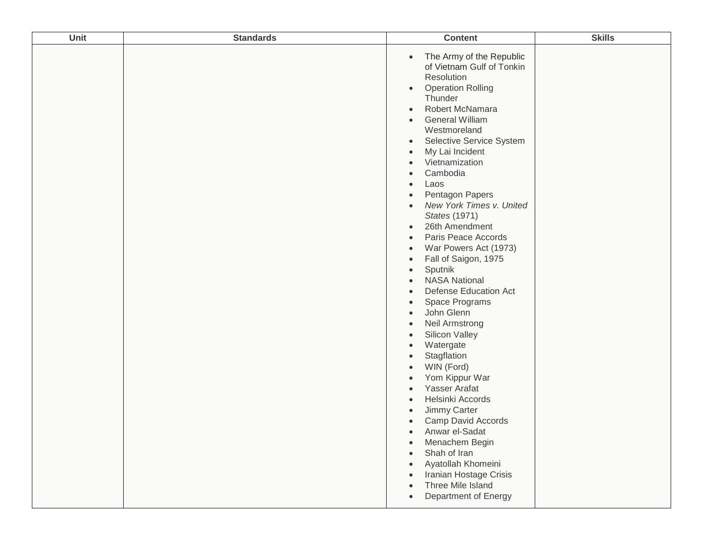| Unit | <b>Standards</b> | <b>Content</b>                                                                                                                                                                                                                                                                                                                                                                                                                                                                                                                                                                                                                                                                                                                                                                                                                                                                                                                                                                                                                                                                                                                                                   | <b>Skills</b> |
|------|------------------|------------------------------------------------------------------------------------------------------------------------------------------------------------------------------------------------------------------------------------------------------------------------------------------------------------------------------------------------------------------------------------------------------------------------------------------------------------------------------------------------------------------------------------------------------------------------------------------------------------------------------------------------------------------------------------------------------------------------------------------------------------------------------------------------------------------------------------------------------------------------------------------------------------------------------------------------------------------------------------------------------------------------------------------------------------------------------------------------------------------------------------------------------------------|---------------|
|      |                  | The Army of the Republic<br>$\bullet$<br>of Vietnam Gulf of Tonkin<br>Resolution<br><b>Operation Rolling</b><br>$\bullet$<br>Thunder<br>Robert McNamara<br>$\bullet$<br><b>General William</b><br>$\bullet$<br>Westmoreland<br>Selective Service System<br>$\bullet$<br>My Lai Incident<br>$\bullet$<br>Vietnamization<br>$\bullet$<br>Cambodia<br>Laos<br>$\bullet$<br>Pentagon Papers<br>$\bullet$<br>New York Times v. United<br>$\bullet$<br>States (1971)<br>26th Amendment<br>$\bullet$<br>Paris Peace Accords<br>$\bullet$<br>War Powers Act (1973)<br>$\bullet$<br>Fall of Saigon, 1975<br>$\bullet$<br>Sputnik<br>$\bullet$<br><b>NASA National</b><br><b>Defense Education Act</b><br>$\bullet$<br>Space Programs<br>$\bullet$<br>John Glenn<br>Neil Armstrong<br>$\bullet$<br>Silicon Valley<br>$\bullet$<br>Watergate<br>$\bullet$<br>Stagflation<br>$\bullet$<br>WIN (Ford)<br>Yom Kippur War<br>Yasser Arafat<br>Helsinki Accords<br>Jimmy Carter<br>Camp David Accords<br>$\bullet$<br>Anwar el-Sadat<br>Menachem Begin<br>Shah of Iran<br>Ayatollah Khomeini<br>Iranian Hostage Crisis<br>Three Mile Island<br>$\bullet$<br>Department of Energy |               |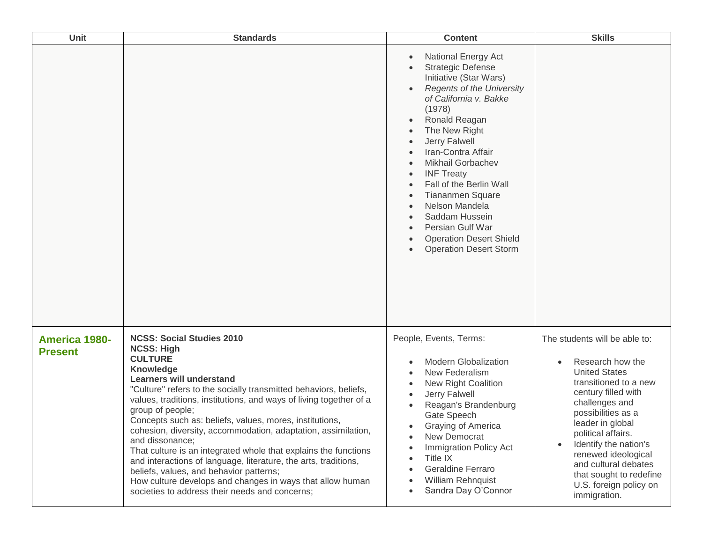| <b>Unit</b>                            | <b>Standards</b>                                                                                                                                                                                                                                                                                                                                                                                                                                                                                                                                                                                                                                                                                                                     | <b>Content</b>                                                                                                                                                                                                                                                                                                                                                                                                                                                                                                                                                                                                     | <b>Skills</b>                                                                                                                                                                                                                                                                                                                                            |
|----------------------------------------|--------------------------------------------------------------------------------------------------------------------------------------------------------------------------------------------------------------------------------------------------------------------------------------------------------------------------------------------------------------------------------------------------------------------------------------------------------------------------------------------------------------------------------------------------------------------------------------------------------------------------------------------------------------------------------------------------------------------------------------|--------------------------------------------------------------------------------------------------------------------------------------------------------------------------------------------------------------------------------------------------------------------------------------------------------------------------------------------------------------------------------------------------------------------------------------------------------------------------------------------------------------------------------------------------------------------------------------------------------------------|----------------------------------------------------------------------------------------------------------------------------------------------------------------------------------------------------------------------------------------------------------------------------------------------------------------------------------------------------------|
|                                        |                                                                                                                                                                                                                                                                                                                                                                                                                                                                                                                                                                                                                                                                                                                                      | <b>National Energy Act</b><br>$\bullet$<br><b>Strategic Defense</b><br>Initiative (Star Wars)<br><b>Regents of the University</b><br>of California v. Bakke<br>(1978)<br>Ronald Reagan<br>The New Right<br>$\bullet$<br>Jerry Falwell<br>$\bullet$<br>Iran-Contra Affair<br>$\bullet$<br><b>Mikhail Gorbachev</b><br>$\bullet$<br><b>INF Treaty</b><br>$\bullet$<br>Fall of the Berlin Wall<br>$\bullet$<br><b>Tiananmen Square</b><br>Nelson Mandela<br>$\bullet$<br>Saddam Hussein<br>Persian Gulf War<br>$\bullet$<br><b>Operation Desert Shield</b><br>$\bullet$<br><b>Operation Desert Storm</b><br>$\bullet$ |                                                                                                                                                                                                                                                                                                                                                          |
| <b>America 1980-</b><br><b>Present</b> | <b>NCSS: Social Studies 2010</b><br><b>NCSS: High</b><br><b>CULTURE</b><br>Knowledge<br><b>Learners will understand</b><br>"Culture" refers to the socially transmitted behaviors, beliefs,<br>values, traditions, institutions, and ways of living together of a<br>group of people;<br>Concepts such as: beliefs, values, mores, institutions,<br>cohesion, diversity, accommodation, adaptation, assimilation,<br>and dissonance;<br>That culture is an integrated whole that explains the functions<br>and interactions of language, literature, the arts, traditions,<br>beliefs, values, and behavior patterns;<br>How culture develops and changes in ways that allow human<br>societies to address their needs and concerns; | People, Events, Terms:<br><b>Modern Globalization</b><br>$\bullet$<br>New Federalism<br>$\bullet$<br>New Right Coalition<br>$\bullet$<br>Jerry Falwell<br>$\bullet$<br>Reagan's Brandenburg<br>$\bullet$<br>Gate Speech<br>Graying of America<br>$\bullet$<br>New Democrat<br>$\bullet$<br>Immigration Policy Act<br>Title IX<br>$\bullet$<br><b>Geraldine Ferraro</b><br>$\bullet$<br>William Rehnquist<br>Sandra Day O'Connor<br>$\bullet$                                                                                                                                                                       | The students will be able to:<br>Research how the<br><b>United States</b><br>transitioned to a new<br>century filled with<br>challenges and<br>possibilities as a<br>leader in global<br>political affairs.<br>Identify the nation's<br>renewed ideological<br>and cultural debates<br>that sought to redefine<br>U.S. foreign policy on<br>immigration. |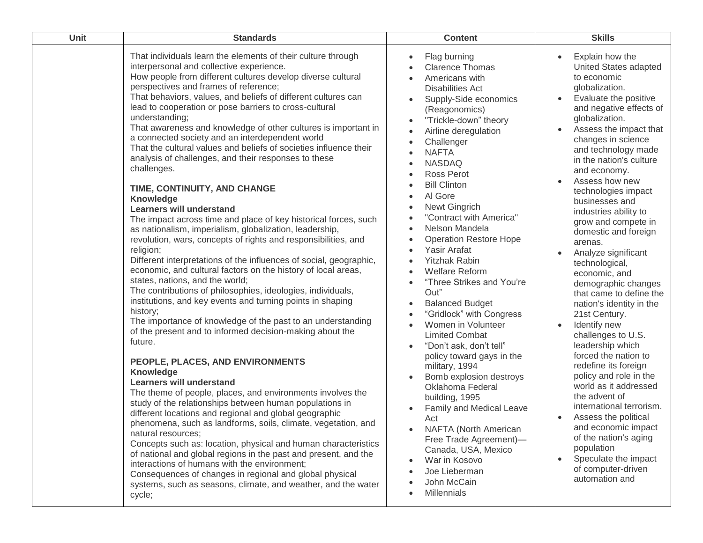| Unit | <b>Standards</b>                                                                                                                                                                                                                                                                                                                                                                                                                                                                                                                                                                                                                                                                                                                                                                                                                                                                                                                                                                                                                                                                                                                                                                                                                                                                                                                                                                                                                                                                                                                                                                                                                                                                                                                                                                                                                                                                                                                                                                                                                                                                     | <b>Content</b>                                                                                                                                                                                                                                                                                                                                                                                                                                                                                                                                                                                                                                                                                                                                                                                                                                                                                                                                                                                                                                                                                                                   | <b>Skills</b>                                                                                                                                                                                                                                                                                                                                                                                                                                                                                                                                                                                                                                                                                                                                                                                                                                                                                                                                         |
|------|--------------------------------------------------------------------------------------------------------------------------------------------------------------------------------------------------------------------------------------------------------------------------------------------------------------------------------------------------------------------------------------------------------------------------------------------------------------------------------------------------------------------------------------------------------------------------------------------------------------------------------------------------------------------------------------------------------------------------------------------------------------------------------------------------------------------------------------------------------------------------------------------------------------------------------------------------------------------------------------------------------------------------------------------------------------------------------------------------------------------------------------------------------------------------------------------------------------------------------------------------------------------------------------------------------------------------------------------------------------------------------------------------------------------------------------------------------------------------------------------------------------------------------------------------------------------------------------------------------------------------------------------------------------------------------------------------------------------------------------------------------------------------------------------------------------------------------------------------------------------------------------------------------------------------------------------------------------------------------------------------------------------------------------------------------------------------------------|----------------------------------------------------------------------------------------------------------------------------------------------------------------------------------------------------------------------------------------------------------------------------------------------------------------------------------------------------------------------------------------------------------------------------------------------------------------------------------------------------------------------------------------------------------------------------------------------------------------------------------------------------------------------------------------------------------------------------------------------------------------------------------------------------------------------------------------------------------------------------------------------------------------------------------------------------------------------------------------------------------------------------------------------------------------------------------------------------------------------------------|-------------------------------------------------------------------------------------------------------------------------------------------------------------------------------------------------------------------------------------------------------------------------------------------------------------------------------------------------------------------------------------------------------------------------------------------------------------------------------------------------------------------------------------------------------------------------------------------------------------------------------------------------------------------------------------------------------------------------------------------------------------------------------------------------------------------------------------------------------------------------------------------------------------------------------------------------------|
|      | That individuals learn the elements of their culture through<br>interpersonal and collective experience.<br>How people from different cultures develop diverse cultural<br>perspectives and frames of reference;<br>That behaviors, values, and beliefs of different cultures can<br>lead to cooperation or pose barriers to cross-cultural<br>understanding;<br>That awareness and knowledge of other cultures is important in<br>a connected society and an interdependent world<br>That the cultural values and beliefs of societies influence their<br>analysis of challenges, and their responses to these<br>challenges.<br>TIME, CONTINUITY, AND CHANGE<br><b>Knowledge</b><br><b>Learners will understand</b><br>The impact across time and place of key historical forces, such<br>as nationalism, imperialism, globalization, leadership,<br>revolution, wars, concepts of rights and responsibilities, and<br>religion;<br>Different interpretations of the influences of social, geographic,<br>economic, and cultural factors on the history of local areas,<br>states, nations, and the world;<br>The contributions of philosophies, ideologies, individuals,<br>institutions, and key events and turning points in shaping<br>history;<br>The importance of knowledge of the past to an understanding<br>of the present and to informed decision-making about the<br>future.<br>PEOPLE, PLACES, AND ENVIRONMENTS<br>Knowledge<br><b>Learners will understand</b><br>The theme of people, places, and environments involves the<br>study of the relationships between human populations in<br>different locations and regional and global geographic<br>phenomena, such as landforms, soils, climate, vegetation, and<br>natural resources;<br>Concepts such as: location, physical and human characteristics<br>of national and global regions in the past and present, and the<br>interactions of humans with the environment;<br>Consequences of changes in regional and global physical<br>systems, such as seasons, climate, and weather, and the water<br>cycle; | Flag burning<br>$\bullet$<br><b>Clarence Thomas</b><br>Americans with<br>$\bullet$<br><b>Disabilities Act</b><br>Supply-Side economics<br>$\bullet$<br>(Reagonomics)<br>"Trickle-down" theory<br>$\bullet$<br>Airline deregulation<br>$\bullet$<br>Challenger<br>$\bullet$<br><b>NAFTA</b><br><b>NASDAQ</b><br><b>Ross Perot</b><br><b>Bill Clinton</b><br>Al Gore<br>$\bullet$<br>Newt Gingrich<br>$\bullet$<br>"Contract with America"<br>Nelson Mandela<br>$\bullet$<br><b>Operation Restore Hope</b><br>$\bullet$<br>Yasir Arafat<br>$\bullet$<br><b>Yitzhak Rabin</b><br>$\bullet$<br><b>Welfare Reform</b><br>"Three Strikes and You're<br>Out"<br><b>Balanced Budget</b><br>$\bullet$<br>"Gridlock" with Congress<br>Women in Volunteer<br>$\bullet$<br><b>Limited Combat</b><br>"Don't ask, don't tell"<br>$\bullet$<br>policy toward gays in the<br>military, 1994<br>Bomb explosion destroys<br>Oklahoma Federal<br>building, 1995<br>Family and Medical Leave<br>Act<br>NAFTA (North American<br>Free Trade Agreement)-<br>Canada, USA, Mexico<br>War in Kosovo<br>Joe Lieberman<br>John McCain<br><b>Millennials</b> | Explain how the<br>$\bullet$<br>United States adapted<br>to economic<br>globalization.<br>Evaluate the positive<br>and negative effects of<br>globalization.<br>Assess the impact that<br>changes in science<br>and technology made<br>in the nation's culture<br>and economy.<br>Assess how new<br>technologies impact<br>businesses and<br>industries ability to<br>grow and compete in<br>domestic and foreign<br>arenas.<br>Analyze significant<br>technological,<br>economic, and<br>demographic changes<br>that came to define the<br>nation's identity in the<br>21st Century.<br>Identify new<br>challenges to U.S.<br>leadership which<br>forced the nation to<br>redefine its foreign<br>policy and role in the<br>world as it addressed<br>the advent of<br>international terrorism.<br>Assess the political<br>and economic impact<br>of the nation's aging<br>population<br>Speculate the impact<br>of computer-driven<br>automation and |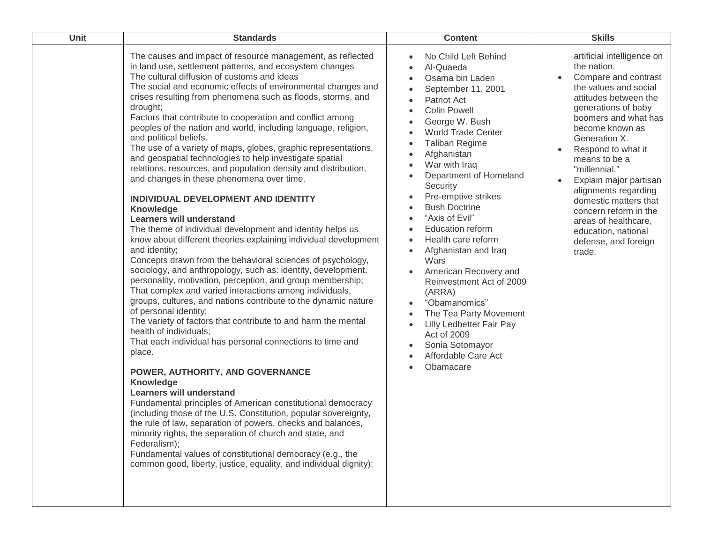| Unit | <b>Standards</b>                                                                                                                                                                                                                                                                                                                                                                                                                                                                                                                                                                                                                                                                                                                                                                                                                                                                                                                                                                                                                                                                                                                                                                                                                                                                                                                                                                                                                                                                                                                                                                                                                                                                                                                                                                                                                                                                                                                                                                    | <b>Content</b>                                                                                                                                                                                                                                                                                                                                                                                                                                                                                                                                                                                                                                                                                                                                                                                        | <b>Skills</b>                                                                                                                                                                                                                                                                                                                                                                                                                                                    |
|------|-------------------------------------------------------------------------------------------------------------------------------------------------------------------------------------------------------------------------------------------------------------------------------------------------------------------------------------------------------------------------------------------------------------------------------------------------------------------------------------------------------------------------------------------------------------------------------------------------------------------------------------------------------------------------------------------------------------------------------------------------------------------------------------------------------------------------------------------------------------------------------------------------------------------------------------------------------------------------------------------------------------------------------------------------------------------------------------------------------------------------------------------------------------------------------------------------------------------------------------------------------------------------------------------------------------------------------------------------------------------------------------------------------------------------------------------------------------------------------------------------------------------------------------------------------------------------------------------------------------------------------------------------------------------------------------------------------------------------------------------------------------------------------------------------------------------------------------------------------------------------------------------------------------------------------------------------------------------------------------|-------------------------------------------------------------------------------------------------------------------------------------------------------------------------------------------------------------------------------------------------------------------------------------------------------------------------------------------------------------------------------------------------------------------------------------------------------------------------------------------------------------------------------------------------------------------------------------------------------------------------------------------------------------------------------------------------------------------------------------------------------------------------------------------------------|------------------------------------------------------------------------------------------------------------------------------------------------------------------------------------------------------------------------------------------------------------------------------------------------------------------------------------------------------------------------------------------------------------------------------------------------------------------|
|      | The causes and impact of resource management, as reflected<br>in land use, settlement patterns, and ecosystem changes<br>The cultural diffusion of customs and ideas<br>The social and economic effects of environmental changes and<br>crises resulting from phenomena such as floods, storms, and<br>drought;<br>Factors that contribute to cooperation and conflict among<br>peoples of the nation and world, including language, religion,<br>and political beliefs.<br>The use of a variety of maps, globes, graphic representations,<br>and geospatial technologies to help investigate spatial<br>relations, resources, and population density and distribution,<br>and changes in these phenomena over time.<br>INDIVIDUAL DEVELOPMENT AND IDENTITY<br>Knowledge<br><b>Learners will understand</b><br>The theme of individual development and identity helps us<br>know about different theories explaining individual development<br>and identity;<br>Concepts drawn from the behavioral sciences of psychology,<br>sociology, and anthropology, such as: identity, development,<br>personality, motivation, perception, and group membership;<br>That complex and varied interactions among individuals,<br>groups, cultures, and nations contribute to the dynamic nature<br>of personal identity;<br>The variety of factors that contribute to and harm the mental<br>health of individuals;<br>That each individual has personal connections to time and<br>place.<br>POWER, AUTHORITY, AND GOVERNANCE<br>Knowledge<br><b>Learners will understand</b><br>Fundamental principles of American constitutional democracy<br>(including those of the U.S. Constitution, popular sovereignty,<br>the rule of law, separation of powers, checks and balances,<br>minority rights, the separation of church and state, and<br>Federalism);<br>Fundamental values of constitutional democracy (e.g., the<br>common good, liberty, justice, equality, and individual dignity); | No Child Left Behind<br>$\bullet$<br>Al-Quaeda<br>Osama bin Laden<br>$\bullet$<br>September 11, 2001<br>$\bullet$<br>Patriot Act<br>$\bullet$<br><b>Colin Powell</b><br>George W. Bush<br>$\bullet$<br><b>World Trade Center</b><br><b>Taliban Regime</b><br>$\bullet$<br>Afghanistan<br>War with Iraq<br>$\bullet$<br>Department of Homeland<br>$\bullet$<br>Security<br>Pre-emptive strikes<br>$\bullet$<br><b>Bush Doctrine</b><br>"Axis of Evil"<br><b>Education reform</b><br>Health care reform<br>$\bullet$<br>Afghanistan and Iraq<br>$\bullet$<br>Wars<br>American Recovery and<br>$\bullet$<br>Reinvestment Act of 2009<br>(ARRA)<br>"Obamanomics"<br>$\bullet$<br>The Tea Party Movement<br>Lilly Ledbetter Fair Pay<br>Act of 2009<br>Sonia Sotomayor<br>Affordable Care Act<br>Obamacare | artificial intelligence on<br>the nation.<br>Compare and contrast<br>$\bullet$<br>the values and social<br>attitudes between the<br>generations of baby<br>boomers and what has<br>become known as<br>Generation X.<br>Respond to what it<br>means to be a<br>"millennial."<br>Explain major partisan<br>alignments regarding<br>domestic matters that<br>concern reform in the<br>areas of healthcare,<br>education, national<br>defense, and foreign<br>trade. |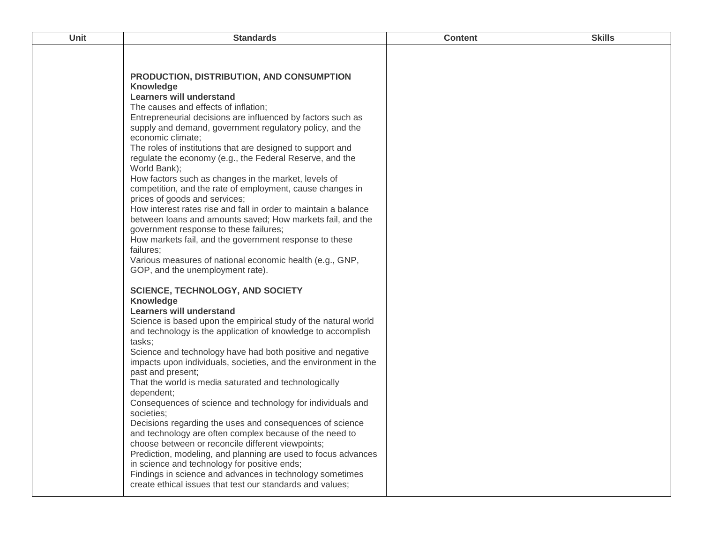| <b>Unit</b> | <b>Standards</b>                                                                                                                                                                                                                                                                                                                                                                                                                                                                                                                                                                                                                                                                                                                                                                                                                                                                                                                                                                                                                                                                                        | <b>Content</b> | <b>Skills</b> |
|-------------|---------------------------------------------------------------------------------------------------------------------------------------------------------------------------------------------------------------------------------------------------------------------------------------------------------------------------------------------------------------------------------------------------------------------------------------------------------------------------------------------------------------------------------------------------------------------------------------------------------------------------------------------------------------------------------------------------------------------------------------------------------------------------------------------------------------------------------------------------------------------------------------------------------------------------------------------------------------------------------------------------------------------------------------------------------------------------------------------------------|----------------|---------------|
|             | PRODUCTION, DISTRIBUTION, AND CONSUMPTION<br><b>Knowledge</b><br>Learners will understand<br>The causes and effects of inflation;<br>Entrepreneurial decisions are influenced by factors such as<br>supply and demand, government regulatory policy, and the<br>economic climate;<br>The roles of institutions that are designed to support and<br>regulate the economy (e.g., the Federal Reserve, and the<br>World Bank);<br>How factors such as changes in the market, levels of<br>competition, and the rate of employment, cause changes in<br>prices of goods and services;<br>How interest rates rise and fall in order to maintain a balance<br>between loans and amounts saved; How markets fail, and the<br>government response to these failures;<br>How markets fail, and the government response to these<br>failures;<br>Various measures of national economic health (e.g., GNP,<br>GOP, and the unemployment rate).<br><b>SCIENCE, TECHNOLOGY, AND SOCIETY</b><br><b>Knowledge</b><br><b>Learners will understand</b><br>Science is based upon the empirical study of the natural world |                |               |
|             | and technology is the application of knowledge to accomplish<br>tasks;<br>Science and technology have had both positive and negative<br>impacts upon individuals, societies, and the environment in the<br>past and present;<br>That the world is media saturated and technologically<br>dependent;<br>Consequences of science and technology for individuals and<br>societies;<br>Decisions regarding the uses and consequences of science<br>and technology are often complex because of the need to<br>choose between or reconcile different viewpoints;<br>Prediction, modeling, and planning are used to focus advances<br>in science and technology for positive ends;<br>Findings in science and advances in technology sometimes<br>create ethical issues that test our standards and values;                                                                                                                                                                                                                                                                                                   |                |               |